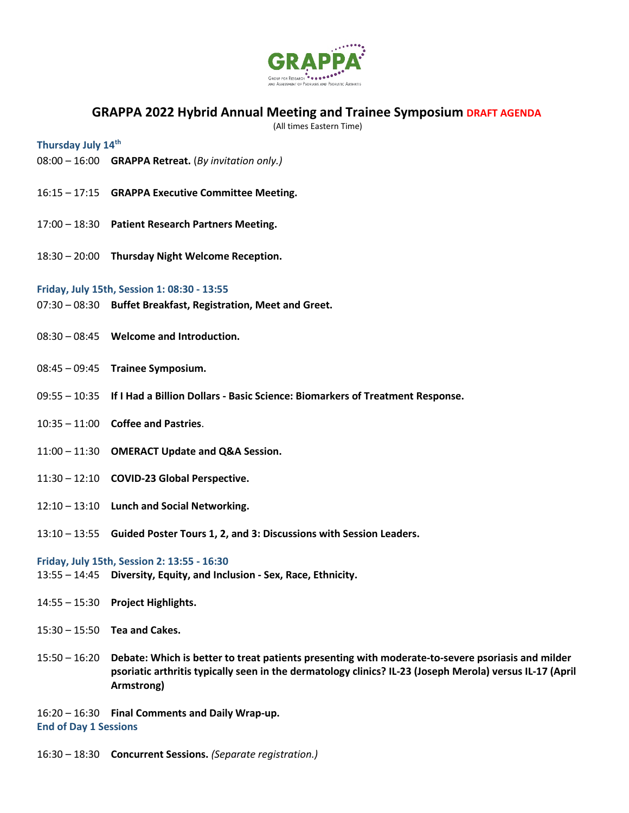

## **GRAPPA 2022 Hybrid Annual Meeting and Trainee Symposium DRAFT AGENDA**

(All times Eastern Time)

**Thursday July 14th**

- 08:00 16:00 **GRAPPA Retreat.** (*By invitation only.)*
- 16:15 17:15 **GRAPPA Executive Committee Meeting.**
- 17:00 18:30 **Patient Research Partners Meeting.**
- 18:30 20:00 **Thursday Night Welcome Reception.**

## **Friday, July 15th, Session 1: 08:30 - 13:55**

- 07:30 08:30 **Buffet Breakfast, Registration, Meet and Greet.**
- 08:30 08:45 **Welcome and Introduction.**
- 08:45 09:45 **Trainee Symposium.**
- 09:55 10:35 **If I Had a Billion Dollars - Basic Science: Biomarkers of Treatment Response.**
- 10:35 11:00 **Coffee and Pastries**.
- 11:00 11:30 **OMERACT Update and Q&A Session.**
- 11:30 12:10 **COVID-23 Global Perspective.**
- 12:10 13:10 **Lunch and Social Networking.**
- 13:10 13:55 **Guided Poster Tours 1, 2, and 3: Discussions with Session Leaders.**

## **Friday, July 15th, Session 2: 13:55 - 16:30**

- 13:55 14:45 **Diversity, Equity, and Inclusion - Sex, Race, Ethnicity.**
- 14:55 15:30 **Project Highlights.**
- 15:30 15:50 **Tea and Cakes.**
- 15:50 16:20 **Debate: Which is better to treat patients presenting with moderate-to-severe psoriasis and milder psoriatic arthritis typically seen in the dermatology clinics? IL-23 (Joseph Merola) versus IL-17 (April Armstrong)**

16:20 – 16:30 **Final Comments and Daily Wrap-up. End of Day 1 Sessions**

16:30 – 18:30 **Concurrent Sessions.** *(Separate registration.)*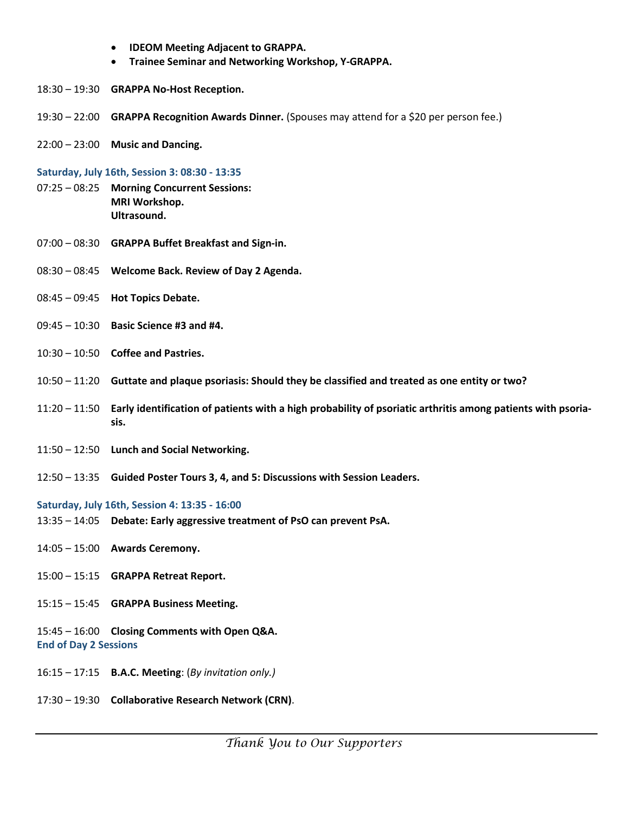- **IDEOM Meeting Adjacent to GRAPPA.**
- **Trainee Seminar and Networking Workshop, Y-GRAPPA.**
- 18:30 19:30 **GRAPPA No-Host Reception.**
- 19:30 22:00 **GRAPPA Recognition Awards Dinner.** (Spouses may attend for a \$20 per person fee.)
- 22:00 23:00 **Music and Dancing.**

**Saturday, July 16th, Session 3: 08:30 - 13:35** 

- 07:25 08:25 **Morning Concurrent Sessions: MRI Workshop. Ultrasound.**
- 07:00 08:30 **GRAPPA Buffet Breakfast and Sign-in.**
- 08:30 08:45 **Welcome Back. Review of Day 2 Agenda.**
- 08:45 09:45 **Hot Topics Debate.**
- 09:45 10:30 **Basic Science #3 and #4.**
- 10:30 10:50 **Coffee and Pastries.**
- 10:50 11:20 **Guttate and plaque psoriasis: Should they be classified and treated as one entity or two?**
- 11:20 11:50 **Early identification of patients with a high probability of psoriatic arthritis among patients with psoriasis.**
- 11:50 12:50 **Lunch and Social Networking.**
- 12:50 13:35 **Guided Poster Tours 3, 4, and 5: Discussions with Session Leaders.**

**Saturday, July 16th, Session 4: 13:35 - 16:00**

- 13:35 14:05 **Debate: Early aggressive treatment of PsO can prevent PsA.**
- 14:05 15:00 **Awards Ceremony.**
- 15:00 15:15 **GRAPPA Retreat Report.**
- 15:15 15:45 **GRAPPA Business Meeting.**
- 15:45 16:00 **Closing Comments with Open Q&A. End of Day 2 Sessions**
- 16:15 17:15 **B.A.C. Meeting**: (*By invitation only.)*
- 17:30 19:30 **Collaborative Research Network (CRN)**.